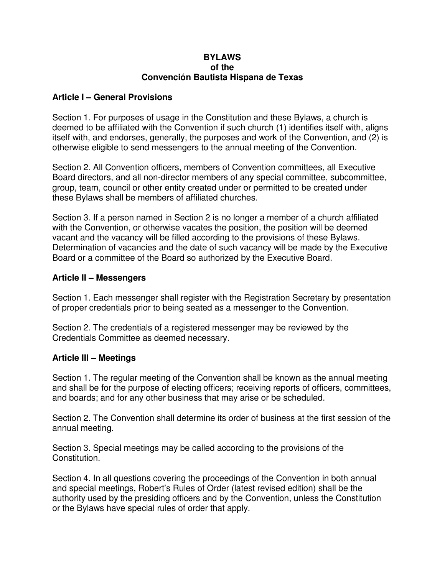#### **BYLAWS of the Convención Bautista Hispana de Texas**

### **Article I – General Provisions**

Section 1. For purposes of usage in the Constitution and these Bylaws, a church is deemed to be affiliated with the Convention if such church (1) identifies itself with, aligns itself with, and endorses, generally, the purposes and work of the Convention, and (2) is otherwise eligible to send messengers to the annual meeting of the Convention.

Section 2. All Convention officers, members of Convention committees, all Executive Board directors, and all non-director members of any special committee, subcommittee, group, team, council or other entity created under or permitted to be created under these Bylaws shall be members of affiliated churches.

Section 3. If a person named in Section 2 is no longer a member of a church affiliated with the Convention, or otherwise vacates the position, the position will be deemed vacant and the vacancy will be filled according to the provisions of these Bylaws. Determination of vacancies and the date of such vacancy will be made by the Executive Board or a committee of the Board so authorized by the Executive Board.

#### **Article II – Messengers**

Section 1. Each messenger shall register with the Registration Secretary by presentation of proper credentials prior to being seated as a messenger to the Convention.

Section 2. The credentials of a registered messenger may be reviewed by the Credentials Committee as deemed necessary.

#### **Article III – Meetings**

Section 1. The regular meeting of the Convention shall be known as the annual meeting and shall be for the purpose of electing officers; receiving reports of officers, committees, and boards; and for any other business that may arise or be scheduled.

Section 2. The Convention shall determine its order of business at the first session of the annual meeting.

Section 3. Special meetings may be called according to the provisions of the Constitution.

Section 4. In all questions covering the proceedings of the Convention in both annual and special meetings, Robert's Rules of Order (latest revised edition) shall be the authority used by the presiding officers and by the Convention, unless the Constitution or the Bylaws have special rules of order that apply.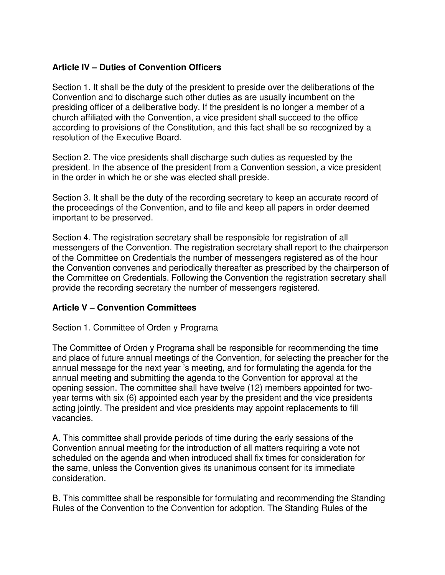# **Article IV – Duties of Convention Officers**

Section 1. It shall be the duty of the president to preside over the deliberations of the Convention and to discharge such other duties as are usually incumbent on the presiding officer of a deliberative body. If the president is no longer a member of a church affiliated with the Convention, a vice president shall succeed to the office according to provisions of the Constitution, and this fact shall be so recognized by a resolution of the Executive Board.

Section 2. The vice presidents shall discharge such duties as requested by the president. In the absence of the president from a Convention session, a vice president in the order in which he or she was elected shall preside.

Section 3. It shall be the duty of the recording secretary to keep an accurate record of the proceedings of the Convention, and to file and keep all papers in order deemed important to be preserved.

Section 4. The registration secretary shall be responsible for registration of all messengers of the Convention. The registration secretary shall report to the chairperson of the Committee on Credentials the number of messengers registered as of the hour the Convention convenes and periodically thereafter as prescribed by the chairperson of the Committee on Credentials. Following the Convention the registration secretary shall provide the recording secretary the number of messengers registered.

#### **Article V – Convention Committees**

#### Section 1. Committee of Orden y Programa

The Committee of Orden y Programa shall be responsible for recommending the time and place of future annual meetings of the Convention, for selecting the preacher for the annual message for the next year 's meeting, and for formulating the agenda for the annual meeting and submitting the agenda to the Convention for approval at the opening session. The committee shall have twelve (12) members appointed for twoyear terms with six (6) appointed each year by the president and the vice presidents acting jointly. The president and vice presidents may appoint replacements to fill vacancies.

A. This committee shall provide periods of time during the early sessions of the Convention annual meeting for the introduction of all matters requiring a vote not scheduled on the agenda and when introduced shall fix times for consideration for the same, unless the Convention gives its unanimous consent for its immediate consideration.

B. This committee shall be responsible for formulating and recommending the Standing Rules of the Convention to the Convention for adoption. The Standing Rules of the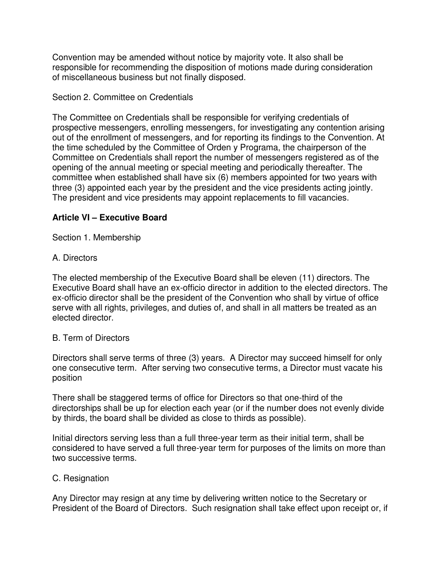Convention may be amended without notice by majority vote. It also shall be responsible for recommending the disposition of motions made during consideration of miscellaneous business but not finally disposed.

### Section 2. Committee on Credentials

The Committee on Credentials shall be responsible for verifying credentials of prospective messengers, enrolling messengers, for investigating any contention arising out of the enrollment of messengers, and for reporting its findings to the Convention. At the time scheduled by the Committee of Orden y Programa, the chairperson of the Committee on Credentials shall report the number of messengers registered as of the opening of the annual meeting or special meeting and periodically thereafter. The committee when established shall have six (6) members appointed for two years with three (3) appointed each year by the president and the vice presidents acting jointly. The president and vice presidents may appoint replacements to fill vacancies.

### **Article VI – Executive Board**

Section 1. Membership

### A. Directors

The elected membership of the Executive Board shall be eleven (11) directors. The Executive Board shall have an ex-officio director in addition to the elected directors. The ex-officio director shall be the president of the Convention who shall by virtue of office serve with all rights, privileges, and duties of, and shall in all matters be treated as an elected director.

#### B. Term of Directors

Directors shall serve terms of three (3) years. A Director may succeed himself for only one consecutive term. After serving two consecutive terms, a Director must vacate his position

There shall be staggered terms of office for Directors so that one-third of the directorships shall be up for election each year (or if the number does not evenly divide by thirds, the board shall be divided as close to thirds as possible).

Initial directors serving less than a full three-year term as their initial term, shall be considered to have served a full three-year term for purposes of the limits on more than two successive terms.

#### C. Resignation

Any Director may resign at any time by delivering written notice to the Secretary or President of the Board of Directors. Such resignation shall take effect upon receipt or, if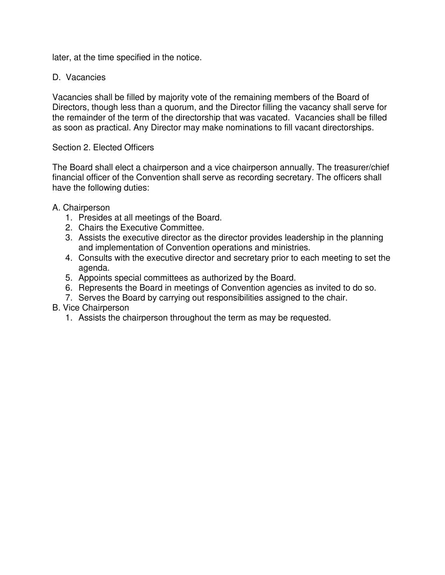later, at the time specified in the notice.

### D. Vacancies

Vacancies shall be filled by majority vote of the remaining members of the Board of Directors, though less than a quorum, and the Director filling the vacancy shall serve for the remainder of the term of the directorship that was vacated. Vacancies shall be filled as soon as practical. Any Director may make nominations to fill vacant directorships.

#### Section 2. Elected Officers

The Board shall elect a chairperson and a vice chairperson annually. The treasurer/chief financial officer of the Convention shall serve as recording secretary. The officers shall have the following duties:

#### A. Chairperson

- 1. Presides at all meetings of the Board.
- 2. Chairs the Executive Committee.
- 3. Assists the executive director as the director provides leadership in the planning and implementation of Convention operations and ministries.
- 4. Consults with the executive director and secretary prior to each meeting to set the agenda.
- 5. Appoints special committees as authorized by the Board.
- 6. Represents the Board in meetings of Convention agencies as invited to do so.
- 7. Serves the Board by carrying out responsibilities assigned to the chair.

#### B. Vice Chairperson

1. Assists the chairperson throughout the term as may be requested.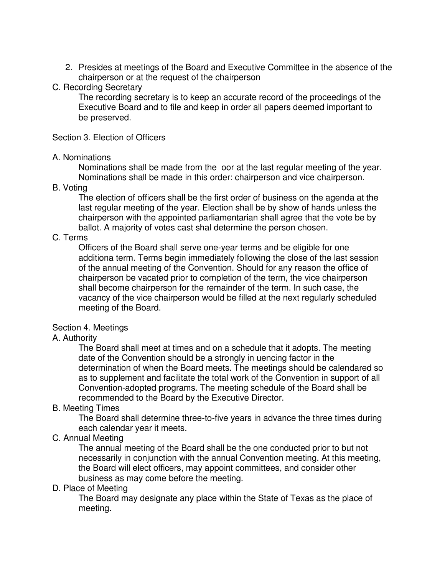2. Presides at meetings of the Board and Executive Committee in the absence of the chairperson or at the request of the chairperson

### C. Recording Secretary

The recording secretary is to keep an accurate record of the proceedings of the Executive Board and to file and keep in order all papers deemed important to be preserved.

#### Section 3. Election of Officers

#### A. Nominations

Nominations shall be made from the oor at the last regular meeting of the year. Nominations shall be made in this order: chairperson and vice chairperson.

### B. Voting

The election of officers shall be the first order of business on the agenda at the last regular meeting of the year. Election shall be by show of hands unless the chairperson with the appointed parliamentarian shall agree that the vote be by ballot. A majority of votes cast shal determine the person chosen.

# C. Terms

Officers of the Board shall serve one-year terms and be eligible for one additiona term. Terms begin immediately following the close of the last session of the annual meeting of the Convention. Should for any reason the office of chairperson be vacated prior to completion of the term, the vice chairperson shall become chairperson for the remainder of the term. In such case, the vacancy of the vice chairperson would be filled at the next regularly scheduled meeting of the Board.

# Section 4. Meetings

# A. Authority

The Board shall meet at times and on a schedule that it adopts. The meeting date of the Convention should be a strongly in uencing factor in the determination of when the Board meets. The meetings should be calendared so as to supplement and facilitate the total work of the Convention in support of all Convention-adopted programs. The meeting schedule of the Board shall be recommended to the Board by the Executive Director.

# B. Meeting Times

The Board shall determine three-to-five years in advance the three times during each calendar year it meets.

# C. Annual Meeting

The annual meeting of the Board shall be the one conducted prior to but not necessarily in conjunction with the annual Convention meeting. At this meeting, the Board will elect officers, may appoint committees, and consider other business as may come before the meeting.

#### D. Place of Meeting

The Board may designate any place within the State of Texas as the place of meeting.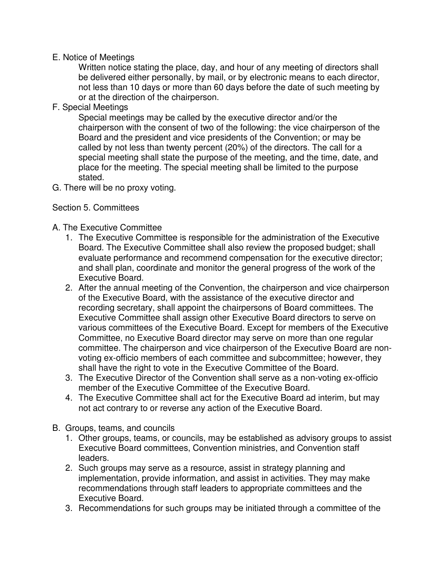#### E. Notice of Meetings

Written notice stating the place, day, and hour of any meeting of directors shall be delivered either personally, by mail, or by electronic means to each director, not less than 10 days or more than 60 days before the date of such meeting by or at the direction of the chairperson.

F. Special Meetings

Special meetings may be called by the executive director and/or the chairperson with the consent of two of the following: the vice chairperson of the Board and the president and vice presidents of the Convention; or may be called by not less than twenty percent (20%) of the directors. The call for a special meeting shall state the purpose of the meeting, and the time, date, and place for the meeting. The special meeting shall be limited to the purpose stated.

G. There will be no proxy voting.

### Section 5. Committees

### A. The Executive Committee

- 1. The Executive Committee is responsible for the administration of the Executive Board. The Executive Committee shall also review the proposed budget; shall evaluate performance and recommend compensation for the executive director; and shall plan, coordinate and monitor the general progress of the work of the Executive Board.
- 2. After the annual meeting of the Convention, the chairperson and vice chairperson of the Executive Board, with the assistance of the executive director and recording secretary, shall appoint the chairpersons of Board committees. The Executive Committee shall assign other Executive Board directors to serve on various committees of the Executive Board. Except for members of the Executive Committee, no Executive Board director may serve on more than one regular committee. The chairperson and vice chairperson of the Executive Board are nonvoting ex-officio members of each committee and subcommittee; however, they shall have the right to vote in the Executive Committee of the Board.
- 3. The Executive Director of the Convention shall serve as a non-voting ex-officio member of the Executive Committee of the Executive Board.
- 4. The Executive Committee shall act for the Executive Board ad interim, but may not act contrary to or reverse any action of the Executive Board.
- B. Groups, teams, and councils
	- 1. Other groups, teams, or councils, may be established as advisory groups to assist Executive Board committees, Convention ministries, and Convention staff leaders.
	- 2. Such groups may serve as a resource, assist in strategy planning and implementation, provide information, and assist in activities. They may make recommendations through staff leaders to appropriate committees and the Executive Board.
	- 3. Recommendations for such groups may be initiated through a committee of the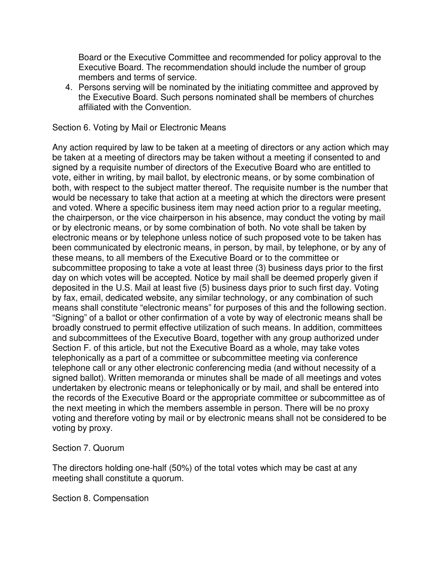Board or the Executive Committee and recommended for policy approval to the Executive Board. The recommendation should include the number of group members and terms of service.

4. Persons serving will be nominated by the initiating committee and approved by the Executive Board. Such persons nominated shall be members of churches affiliated with the Convention.

Section 6. Voting by Mail or Electronic Means

Any action required by law to be taken at a meeting of directors or any action which may be taken at a meeting of directors may be taken without a meeting if consented to and signed by a requisite number of directors of the Executive Board who are entitled to vote, either in writing, by mail ballot, by electronic means, or by some combination of both, with respect to the subject matter thereof. The requisite number is the number that would be necessary to take that action at a meeting at which the directors were present and voted. Where a specific business item may need action prior to a regular meeting, the chairperson, or the vice chairperson in his absence, may conduct the voting by mail or by electronic means, or by some combination of both. No vote shall be taken by electronic means or by telephone unless notice of such proposed vote to be taken has been communicated by electronic means, in person, by mail, by telephone, or by any of these means, to all members of the Executive Board or to the committee or subcommittee proposing to take a vote at least three (3) business days prior to the first day on which votes will be accepted. Notice by mail shall be deemed properly given if deposited in the U.S. Mail at least five (5) business days prior to such first day. Voting by fax, email, dedicated website, any similar technology, or any combination of such means shall constitute "electronic means" for purposes of this and the following section. "Signing" of a ballot or other confirmation of a vote by way of electronic means shall be broadly construed to permit effective utilization of such means. In addition, committees and subcommittees of the Executive Board, together with any group authorized under Section F. of this article, but not the Executive Board as a whole, may take votes telephonically as a part of a committee or subcommittee meeting via conference telephone call or any other electronic conferencing media (and without necessity of a signed ballot). Written memoranda or minutes shall be made of all meetings and votes undertaken by electronic means or telephonically or by mail, and shall be entered into the records of the Executive Board or the appropriate committee or subcommittee as of the next meeting in which the members assemble in person. There will be no proxy voting and therefore voting by mail or by electronic means shall not be considered to be voting by proxy.

Section 7. Quorum

The directors holding one-half (50%) of the total votes which may be cast at any meeting shall constitute a quorum.

Section 8. Compensation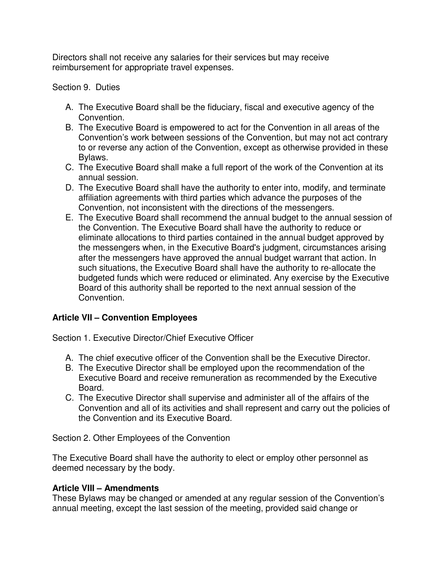Directors shall not receive any salaries for their services but may receive reimbursement for appropriate travel expenses.

### Section 9. Duties

- A. The Executive Board shall be the fiduciary, fiscal and executive agency of the Convention.
- B. The Executive Board is empowered to act for the Convention in all areas of the Convention's work between sessions of the Convention, but may not act contrary to or reverse any action of the Convention, except as otherwise provided in these Bylaws.
- C. The Executive Board shall make a full report of the work of the Convention at its annual session.
- D. The Executive Board shall have the authority to enter into, modify, and terminate affiliation agreements with third parties which advance the purposes of the Convention, not inconsistent with the directions of the messengers.
- E. The Executive Board shall recommend the annual budget to the annual session of the Convention. The Executive Board shall have the authority to reduce or eliminate allocations to third parties contained in the annual budget approved by the messengers when, in the Executive Board's judgment, circumstances arising after the messengers have approved the annual budget warrant that action. In such situations, the Executive Board shall have the authority to re-allocate the budgeted funds which were reduced or eliminated. Any exercise by the Executive Board of this authority shall be reported to the next annual session of the Convention.

# **Article VII – Convention Employees**

Section 1. Executive Director/Chief Executive Officer

- A. The chief executive officer of the Convention shall be the Executive Director.
- B. The Executive Director shall be employed upon the recommendation of the Executive Board and receive remuneration as recommended by the Executive Board.
- C. The Executive Director shall supervise and administer all of the affairs of the Convention and all of its activities and shall represent and carry out the policies of the Convention and its Executive Board.

Section 2. Other Employees of the Convention

The Executive Board shall have the authority to elect or employ other personnel as deemed necessary by the body.

# **Article VIII – Amendments**

These Bylaws may be changed or amended at any regular session of the Convention's annual meeting, except the last session of the meeting, provided said change or